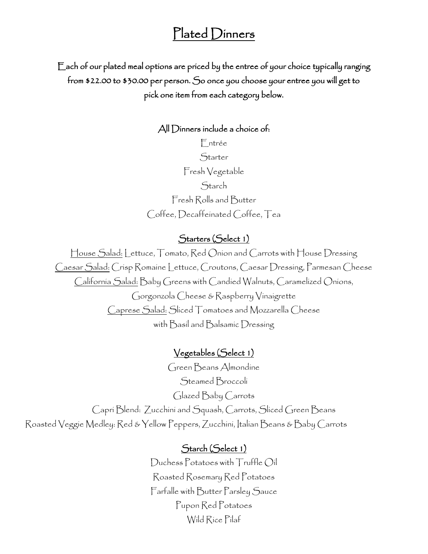# Plated Dinners

Each of our plated meal options are priced by the entree of your choice typically ranging from \$22.00 to \$30.00 per person. So once you choose your entree you will get to pick one item from each category below.

#### All Dinners include a choice of:

Entrée Starter Fresh Vegetable **Starch** Fresh Rolls and Butter Coffee, Decaffeinated Coffee, Tea

### Starters (Select 1)

House Salad: Lettuce, Tomato, Red Onion and Carrots with House Dressing Caesar Salad: Crisp Romaine Lettuce, Croutons, Caesar Dressing, Parmesan Cheese California Salad: Baby Greens with Candied Walnuts, Caramelized Onions, Gorgonzola Cheese & Raspberry Vinaigrette Caprese Salad: Sliced Tomatoes and Mozzarella Cheese with Basil and Balsamic Dressing

### Vegetables (Select 1)

Green Beans Almondine Steamed Broccoli Glazed Baby Carrots Capri Blend: Zucchini and Squash, Carrots, Sliced Green Beans Roasted Veggie Medley: Red & Yellow Peppers, Zucchini, Italian Beans & Baby Carrots

### Starch (Select 1)

Duchess Potatoes with Truffle Oil Roasted Rosemary Red Potatoes Farfalle with Butter Parsley Sauce Pupon Red Potatoes Wild Rice Pilaf